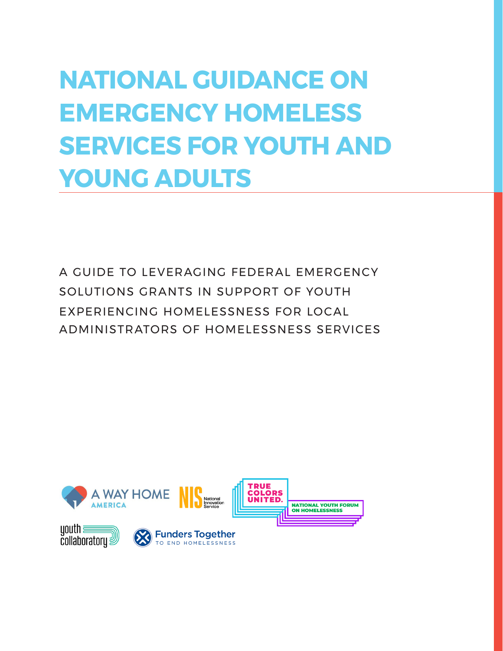# **NATIONAL GUIDANCE ON EMERGENCY HOMELESS SERVICES FOR YOUTH AND YOUNG ADULTS**

A GUIDE TO LEVERAGING FEDERAL EMERGENCY SOLUTIONS GRANTS IN SUPPORT OF YOUTH EXPERIENCING HOMELESSNESS FOR LOCAL ADMINISTRATORS OF HOMELESSNESS SERVICES

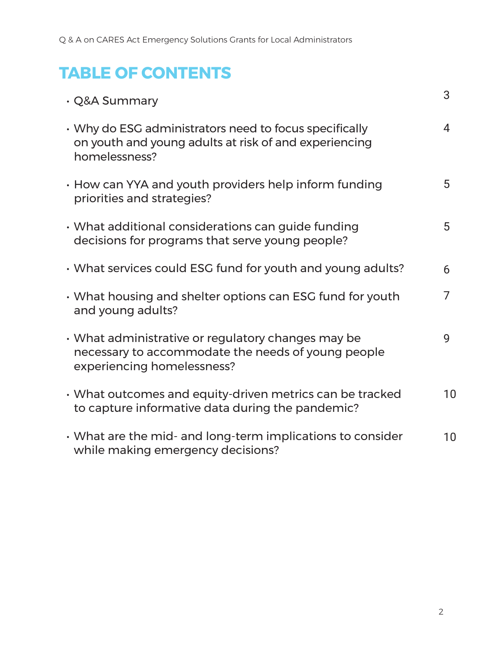# **TABLE OF CONTENTS**

| · Q&A Summary                                                                                                                          | 3  |
|----------------------------------------------------------------------------------------------------------------------------------------|----|
| • Why do ESG administrators need to focus specifically<br>on youth and young adults at risk of and experiencing<br>homelessness?       | 4  |
| • How can YYA and youth providers help inform funding<br>priorities and strategies?                                                    | 5  |
| • What additional considerations can guide funding<br>decisions for programs that serve young people?                                  | 5  |
| · What services could ESG fund for youth and young adults?                                                                             | 6  |
| • What housing and shelter options can ESG fund for youth<br>and young adults?                                                         | 7  |
| • What administrative or regulatory changes may be<br>necessary to accommodate the needs of young people<br>experiencing homelessness? | 9  |
| • What outcomes and equity-driven metrics can be tracked<br>to capture informative data during the pandemic?                           | 10 |
| • What are the mid- and long-term implications to consider<br>while making emergency decisions?                                        | 10 |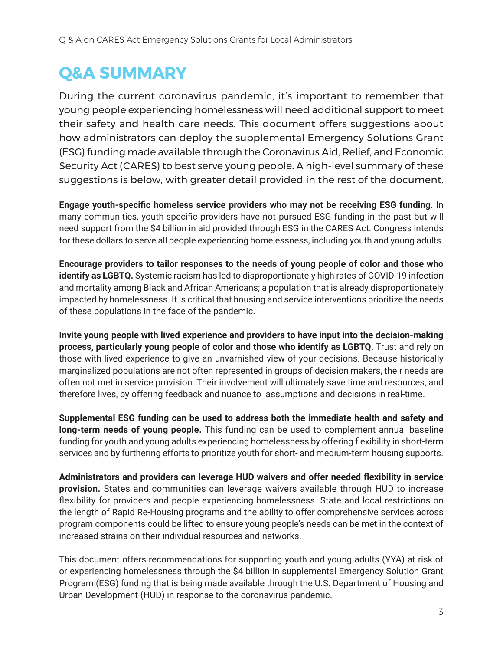# **Q&A SUMMARY**

During the current coronavirus pandemic, it's important to remember that young people experiencing homelessness will need additional support to meet their safety and health care needs. This document offers suggestions about how administrators can deploy the supplemental Emergency Solutions Grant (ESG) funding made available through the Coronavirus Aid, Relief, and Economic Security Act (CARES) to best serve young people. A high-level summary of these suggestions is below, with greater detail provided in the rest of the document.

**Engage youth-specific homeless service providers who may not be receiving ESG funding**. In many communities, youth-specific providers have not pursued ESG funding in the past but will need support from the \$4 billion in aid provided through ESG in the CARES Act. Congress intends for these dollars to serve all people experiencing homelessness, including youth and young adults.

**Encourage providers to tailor responses to the needs of young people of color and those who identify as LGBTQ.** Systemic racism has led to disproportionately high rates of COVID-19 infection and mortality among Black and African Americans; a population that is already disproportionately impacted by homelessness. It is critical that housing and service interventions prioritize the needs of these populations in the face of the pandemic.

**Invite young people with lived experience and providers to have input into the decision-making process, particularly young people of color and those who identify as LGBTQ.** Trust and rely on those with lived experience to give an unvarnished view of your decisions. Because historically marginalized populations are not often represented in groups of decision makers, their needs are often not met in service provision. Their involvement will ultimately save time and resources, and therefore lives, by offering feedback and nuance to assumptions and decisions in real-time.

**Supplemental ESG funding can be used to address both the immediate health and safety and long-term needs of young people.** This funding can be used to complement annual baseline funding for youth and young adults experiencing homelessness by offering flexibility in short-term services and by furthering efforts to prioritize youth for short- and medium-term housing supports.

**Administrators and providers can leverage HUD waivers and offer needed flexibility in service provision.** States and communities can leverage waivers available through HUD to increase flexibility for providers and people experiencing homelessness. State and local restrictions on the length of Rapid Re-Housing programs and the ability to offer comprehensive services across program components could be lifted to ensure young people's needs can be met in the context of increased strains on their individual resources and networks.

This document offers recommendations for supporting youth and young adults (YYA) at risk of or experiencing homelessness through the \$4 billion in supplemental Emergency Solution Grant Program (ESG) funding that is being made available through the U.S. Department of Housing and Urban Development (HUD) in response to the coronavirus pandemic.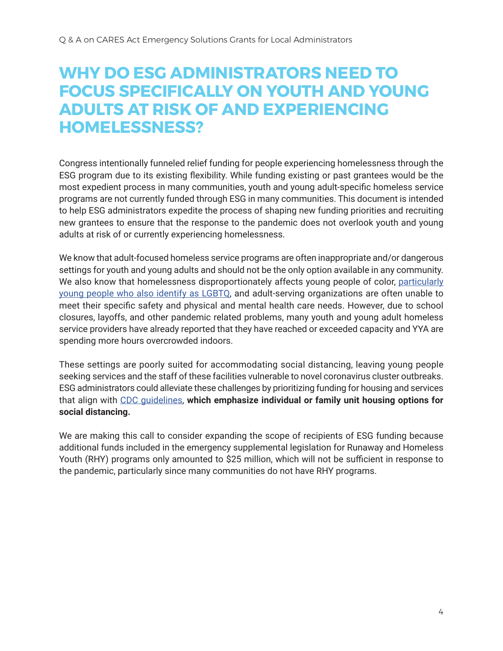### **WHY DO ESG ADMINISTRATORS NEED TO FOCUS SPECIFICALLY ON YOUTH AND YOUNG ADULTS AT RISK OF AND EXPERIENCING HOMELESSNESS?**

Congress intentionally funneled relief funding for people experiencing homelessness through the ESG program due to its existing flexibility. While funding existing or past grantees would be the most expedient process in many communities, youth and young adult-specific homeless service programs are not currently funded through ESG in many communities. This document is intended to help ESG administrators expedite the process of shaping new funding priorities and recruiting new grantees to ensure that the response to the pandemic does not overlook youth and young adults at risk of or currently experiencing homelessness.

We know that adult-focused homeless service programs are often inappropriate and/or dangerous settings for youth and young adults and should not be the only option available in any community. We also know that homelessness disproportionately affects young people of color, particularly young people who also identify as LGBTQ, and adult-serving organizations are often unable to meet their specific safety and physical and mental health care needs. However, due to school closures, layoffs, and other pandemic related problems, many youth and young adult homeless service providers have already reported that they have reached or exceeded capacity and YYA are spending more hours overcrowded indoors.

These settings are poorly suited for accommodating social distancing, leaving young people seeking services and the staff of these facilities vulnerable to novel coronavirus cluster outbreaks. ESG administrators could alleviate these challenges by prioritizing funding for housing and services that align with CDC guidelines, **which emphasize individual or family unit housing options for social distancing.** 

We are making this call to consider expanding the scope of recipients of ESG funding because additional funds included in the emergency supplemental legislation for Runaway and Homeless Youth (RHY) programs only amounted to \$25 million, which will not be sufficient in response to the pandemic, particularly since many communities do not have RHY programs.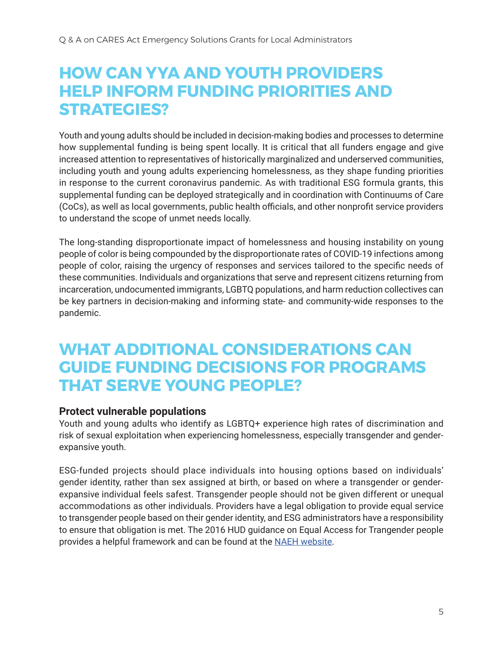### **HOW CAN YYA AND YOUTH PROVIDERS HELP INFORM FUNDING PRIORITIES AND STRATEGIES?**

Youth and young adults should be included in decision-making bodies and processes to determine how supplemental funding is being spent locally. It is critical that all funders engage and give increased attention to representatives of historically marginalized and underserved communities, including youth and young adults experiencing homelessness, as they shape funding priorities in response to the current coronavirus pandemic. As with traditional ESG formula grants, this supplemental funding can be deployed strategically and in coordination with Continuums of Care (CoCs), as well as local governments, public health officials, and other nonprofit service providers to understand the scope of unmet needs locally.

The long-standing disproportionate impact of homelessness and housing instability on young people of color is being compounded by the disproportionate rates of COVID-19 infections among people of color, raising the urgency of responses and services tailored to the specific needs of these communities. Individuals and organizations that serve and represent citizens returning from incarceration, undocumented immigrants, LGBTQ populations, and harm reduction collectives can be key partners in decision-making and informing state- and community-wide responses to the pandemic.

### **WHAT ADDITIONAL CONSIDERATIONS CAN GUIDE FUNDING DECISIONS FOR PROGRAMS THAT SERVE YOUNG PEOPLE?**

#### **Protect vulnerable populations**

Youth and young adults who identify as LGBTQ+ experience high rates of discrimination and risk of sexual exploitation when experiencing homelessness, especially transgender and genderexpansive youth.

ESG-funded projects should place individuals into housing options based on individuals' gender identity, rather than sex assigned at birth, or based on where a transgender or genderexpansive individual feels safest. Transgender people should not be given different or unequal accommodations as other individuals. Providers have a legal obligation to provide equal service to transgender people based on their gender identity, and ESG administrators have a responsibility to ensure that obligation is met. The 2016 HUD guidance on Equal Access for Trangender people provides a helpful framework and can be found at the NAEH website.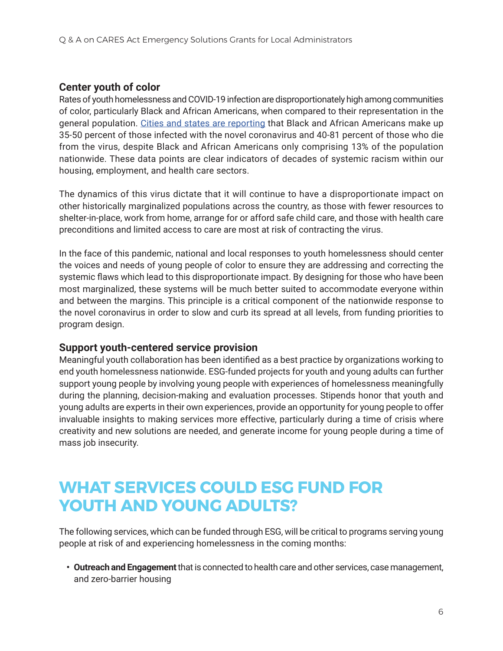#### **Center youth of color**

Rates of youth homelessness and COVID-19 infection are disproportionately high among communities of color, particularly Black and African Americans, when compared to their representation in the general population. Cities and states are reporting that Black and African Americans make up 35-50 percent of those infected with the novel coronavirus and 40-81 percent of those who die from the virus, despite Black and African Americans only comprising 13% of the population nationwide. These data points are clear indicators of decades of systemic racism within our housing, employment, and health care sectors.

The dynamics of this virus dictate that it will continue to have a disproportionate impact on other historically marginalized populations across the country, as those with fewer resources to shelter-in-place, work from home, arrange for or afford safe child care, and those with health care preconditions and limited access to care are most at risk of contracting the virus.

In the face of this pandemic, national and local responses to youth homelessness should center the voices and needs of young people of color to ensure they are addressing and correcting the systemic flaws which lead to this disproportionate impact. By designing for those who have been most marginalized, these systems will be much better suited to accommodate everyone within and between the margins. This principle is a critical component of the nationwide response to the novel coronavirus in order to slow and curb its spread at all levels, from funding priorities to program design.

#### **Support youth-centered service provision**

Meaningful youth collaboration has been identified as a best practice by organizations working to end youth homelessness nationwide. ESG-funded projects for youth and young adults can further support young people by involving young people with experiences of homelessness meaningfully during the planning, decision-making and evaluation processes. Stipends honor that youth and young adults are experts in their own experiences, provide an opportunity for young people to offer invaluable insights to making services more effective, particularly during a time of crisis where creativity and new solutions are needed, and generate income for young people during a time of mass job insecurity.

### **WHAT SERVICES COULD ESG FUND FOR YOUTH AND YOUNG ADULTS?**

The following services, which can be funded through ESG, will be critical to programs serving young people at risk of and experiencing homelessness in the coming months:

**• Outreach and Engagement** that is connected to health care and other services, case management, and zero-barrier housing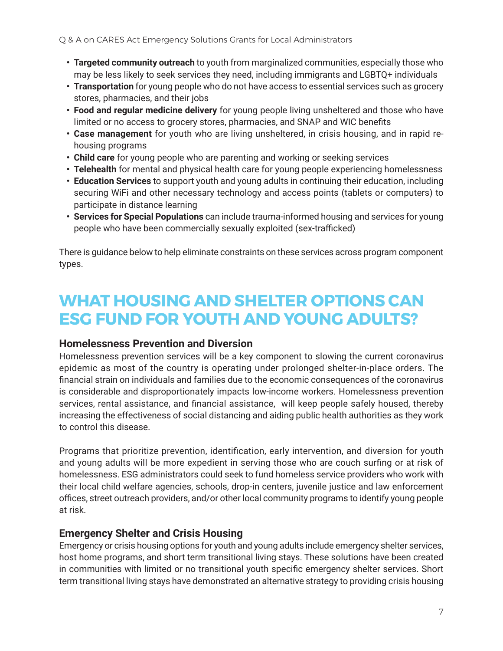- **• Targeted community outreach** to youth from marginalized communities, especially those who may be less likely to seek services they need, including immigrants and LGBTQ+ individuals
- **• Transportation** for young people who do not have access to essential services such as grocery stores, pharmacies, and their jobs
- **• Food and regular medicine delivery** for young people living unsheltered and those who have limited or no access to grocery stores, pharmacies, and SNAP and WIC benefits
- **• Case management** for youth who are living unsheltered, in crisis housing, and in rapid rehousing programs
- **• Child care** for young people who are parenting and working or seeking services
- **• Telehealth** for mental and physical health care for young people experiencing homelessness
- **• Education Services** to support youth and young adults in continuing their education, including securing WiFi and other necessary technology and access points (tablets or computers) to participate in distance learning
- **• Services for Special Populations** can include trauma-informed housing and services for young people who have been commercially sexually exploited (sex-trafficked)

There is guidance below to help eliminate constraints on these services across program component types.

### **WHAT HOUSING AND SHELTER OPTIONS CAN ESG FUND FOR YOUTH AND YOUNG ADULTS?**

#### **Homelessness Prevention and Diversion**

Homelessness prevention services will be a key component to slowing the current coronavirus epidemic as most of the country is operating under prolonged shelter-in-place orders. The financial strain on individuals and families due to the economic consequences of the coronavirus is considerable and disproportionately impacts low-income workers. Homelessness prevention services, rental assistance, and financial assistance, will keep people safely housed, thereby increasing the effectiveness of social distancing and aiding public health authorities as they work to control this disease.

Programs that prioritize prevention, identification, early intervention, and diversion for youth and young adults will be more expedient in serving those who are couch surfing or at risk of homelessness. ESG administrators could seek to fund homeless service providers who work with their local child welfare agencies, schools, drop-in centers, juvenile justice and law enforcement offices, street outreach providers, and/or other local community programs to identify young people at risk.

#### **Emergency Shelter and Crisis Housing**

Emergency or crisis housing options for youth and young adults include emergency shelter services, host home programs, and short term transitional living stays. These solutions have been created in communities with limited or no transitional youth specific emergency shelter services. Short term transitional living stays have demonstrated an alternative strategy to providing crisis housing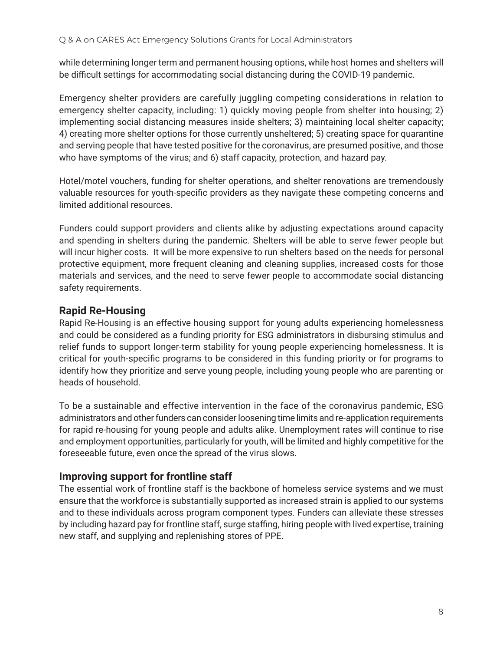while determining longer term and permanent housing options, while host homes and shelters will be difficult settings for accommodating social distancing during the COVID-19 pandemic.

Emergency shelter providers are carefully juggling competing considerations in relation to emergency shelter capacity, including: 1) quickly moving people from shelter into housing; 2) implementing social distancing measures inside shelters; 3) maintaining local shelter capacity; 4) creating more shelter options for those currently unsheltered; 5) creating space for quarantine and serving people that have tested positive for the coronavirus, are presumed positive, and those who have symptoms of the virus; and 6) staff capacity, protection, and hazard pay.

Hotel/motel vouchers, funding for shelter operations, and shelter renovations are tremendously valuable resources for youth-specific providers as they navigate these competing concerns and limited additional resources.

Funders could support providers and clients alike by adjusting expectations around capacity and spending in shelters during the pandemic. Shelters will be able to serve fewer people but will incur higher costs. It will be more expensive to run shelters based on the needs for personal protective equipment, more frequent cleaning and cleaning supplies, increased costs for those materials and services, and the need to serve fewer people to accommodate social distancing safety requirements.

#### **Rapid Re-Housing**

Rapid Re-Housing is an effective housing support for young adults experiencing homelessness and could be considered as a funding priority for ESG administrators in disbursing stimulus and relief funds to support longer-term stability for young people experiencing homelessness. It is critical for youth-specific programs to be considered in this funding priority or for programs to identify how they prioritize and serve young people, including young people who are parenting or heads of household.

To be a sustainable and effective intervention in the face of the coronavirus pandemic, ESG administrators and other funders can consider loosening time limits and re-application requirements for rapid re-housing for young people and adults alike. Unemployment rates will continue to rise and employment opportunities, particularly for youth, will be limited and highly competitive for the foreseeable future, even once the spread of the virus slows.

#### **Improving support for frontline staff**

The essential work of frontline staff is the backbone of homeless service systems and we must ensure that the workforce is substantially supported as increased strain is applied to our systems and to these individuals across program component types. Funders can alleviate these stresses by including hazard pay for frontline staff, surge staffing, hiring people with lived expertise, training new staff, and supplying and replenishing stores of PPE.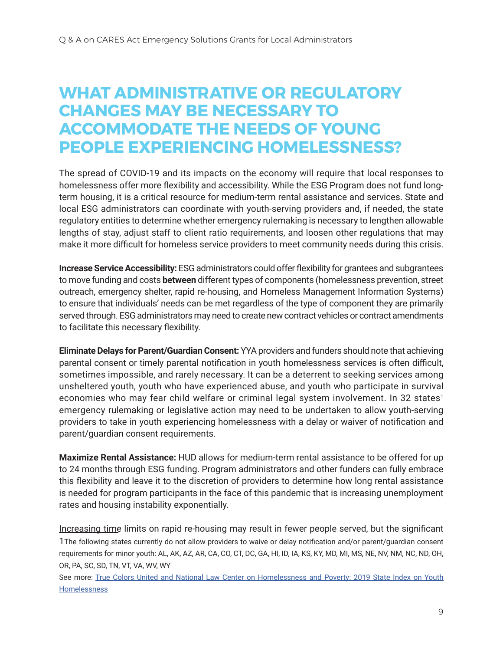### **WHAT ADMINISTRATIVE OR REGULATORY CHANGES MAY BE NECESSARY TO ACCOMMODATE THE NEEDS OF YOUNG PEOPLE EXPERIENCING HOMELESSNESS?**

The spread of COVID-19 and its impacts on the economy will require that local responses to homelessness offer more flexibility and accessibility. While the ESG Program does not fund longterm housing, it is a critical resource for medium-term rental assistance and services. State and local ESG administrators can coordinate with youth-serving providers and, if needed, the state regulatory entities to determine whether emergency rulemaking is necessary to lengthen allowable lengths of stay, adjust staff to client ratio requirements, and loosen other regulations that may make it more difficult for homeless service providers to meet community needs during this crisis.

**Increase Service Accessibility:** ESG administrators could offer flexibility for grantees and subgrantees to move funding and costs **between** different types of components (homelessness prevention, street outreach, emergency shelter, rapid re-housing, and Homeless Management Information Systems) to ensure that individuals' needs can be met regardless of the type of component they are primarily served through. ESG administrators may need to create new contract vehicles or contract amendments to facilitate this necessary flexibility.

**Eliminate Delays for Parent/Guardian Consent:** YYA providers and funders should note that achieving parental consent or timely parental notification in youth homelessness services is often difficult, sometimes impossible, and rarely necessary. It can be a deterrent to seeking services among unsheltered youth, youth who have experienced abuse, and youth who participate in survival economies who may fear child welfare or criminal legal system involvement. In 32 states<sup>1</sup> emergency rulemaking or legislative action may need to be undertaken to allow youth-serving providers to take in youth experiencing homelessness with a delay or waiver of notification and parent/guardian consent requirements.

**Maximize Rental Assistance:** HUD allows for medium-term rental assistance to be offered for up to 24 months through ESG funding. Program administrators and other funders can fully embrace this flexibility and leave it to the discretion of providers to determine how long rental assistance is needed for program participants in the face of this pandemic that is increasing unemployment rates and housing instability exponentially.

Increasing time limits on rapid re-housing may result in fewer people served, but the significant 1The following states currently do not allow providers to waive or delay notification and/or parent/guardian consent requirements for minor youth: AL, AK, AZ, AR, CA, CO, CT, DC, GA, HI, ID, IA, KS, KY, MD, MI, MS, NE, NV, NM, NC, ND, OH, OR, PA, SC, SD, TN, VT, VA, WV, WY

See more: True Colors United and National Law Center on Homelessness and Poverty: 2019 State Index on Youth Homelessness